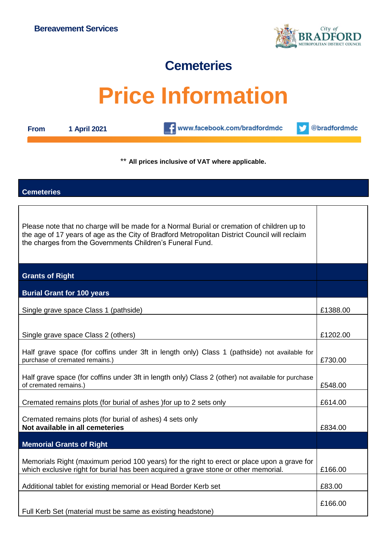

# **Cemeteries**

# **Price Information**

| <b>From</b> |  |  | 1 April 2021 |
|-------------|--|--|--------------|
|-------------|--|--|--------------|

**CONTENT** www.facebook.com/bradfordmdc

@bradfordmdc v

\*\* **All prices inclusive of VAT where applicable.**

### **Cemeteries**

| Please note that no charge will be made for a Normal Burial or cremation of children up to<br>the age of 17 years of age as the City of Bradford Metropolitan District Council will reclaim<br>the charges from the Governments Children's Funeral Fund. |          |
|----------------------------------------------------------------------------------------------------------------------------------------------------------------------------------------------------------------------------------------------------------|----------|
| <b>Grants of Right</b>                                                                                                                                                                                                                                   |          |
| <b>Burial Grant for 100 years</b>                                                                                                                                                                                                                        |          |
| Single grave space Class 1 (pathside)                                                                                                                                                                                                                    | £1388.00 |
| Single grave space Class 2 (others)                                                                                                                                                                                                                      | £1202.00 |
| Half grave space (for coffins under 3ft in length only) Class 1 (pathside) not available for<br>purchase of cremated remains.)                                                                                                                           | £730.00  |
| Half grave space (for coffins under 3ft in length only) Class 2 (other) not available for purchase<br>of cremated remains.)                                                                                                                              | £548.00  |
| Cremated remains plots (for burial of ashes ) for up to 2 sets only                                                                                                                                                                                      | £614.00  |
| Cremated remains plots (for burial of ashes) 4 sets only<br>Not available in all cemeteries                                                                                                                                                              | £834.00  |
| <b>Memorial Grants of Right</b>                                                                                                                                                                                                                          |          |
| Memorials Right (maximum period 100 years) for the right to erect or place upon a grave for<br>which exclusive right for burial has been acquired a grave stone or other memorial.                                                                       |          |
| Additional tablet for existing memorial or Head Border Kerb set                                                                                                                                                                                          | £83.00   |
| Full Kerb Set (material must be same as existing headstone)                                                                                                                                                                                              | £166.00  |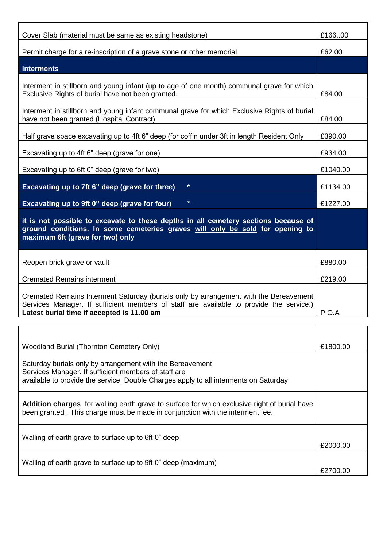| Cover Slab (material must be same as existing headstone)                                                                                                                                                                       |          |
|--------------------------------------------------------------------------------------------------------------------------------------------------------------------------------------------------------------------------------|----------|
| Permit charge for a re-inscription of a grave stone or other memorial                                                                                                                                                          | £62.00   |
| <b>Interments</b>                                                                                                                                                                                                              |          |
|                                                                                                                                                                                                                                |          |
| Interment in stillborn and young infant (up to age of one month) communal grave for which<br>Exclusive Rights of burial have not been granted.                                                                                 | £84.00   |
| Interment in stillborn and young infant communal grave for which Exclusive Rights of burial<br>have not been granted (Hospital Contract)                                                                                       |          |
| Half grave space excavating up to 4ft 6" deep (for coffin under 3ft in length Resident Only                                                                                                                                    | £390.00  |
| Excavating up to 4ft 6" deep (grave for one)                                                                                                                                                                                   | £934.00  |
| Excavating up to 6ft 0" deep (grave for two)                                                                                                                                                                                   | £1040.00 |
| $\star$<br>Excavating up to 7ft 6" deep (grave for three)                                                                                                                                                                      | £1134.00 |
| Excavating up to 9ft 0" deep (grave for four)<br>$\ast$                                                                                                                                                                        | £1227.00 |
| it is not possible to excavate to these depths in all cemetery sections because of<br>ground conditions. In some cemeteries graves will only be sold for opening to<br>maximum 6ft (grave for two) only                        |          |
| Reopen brick grave or vault                                                                                                                                                                                                    | £880.00  |
| <b>Cremated Remains interment</b>                                                                                                                                                                                              | £219.00  |
| Cremated Remains Interment Saturday (burials only by arrangement with the Bereavement<br>Services Manager. If sufficient members of staff are available to provide the service.)<br>Latest burial time if accepted is 11.00 am |          |
|                                                                                                                                                                                                                                |          |
|                                                                                                                                                                                                                                |          |
| <b>Woodland Burial (Thornton Cemetery Only)</b>                                                                                                                                                                                | £1800.00 |
| Saturday burials only by arrangement with the Bereavement<br>Services Manager. If sufficient members of staff are<br>available to provide the service. Double Charges apply to all interments on Saturday                      |          |
| <b>Addition charges</b> for walling earth grave to surface for which exclusive right of burial have<br>heen grapted. This charge must be made in conjunction with the interment fee                                            |          |

| been granted. This charge must be made in conjunction with the interment fee. |          |
|-------------------------------------------------------------------------------|----------|
| Walling of earth grave to surface up to 6ft 0" deep                           | £2000.00 |
| Walling of earth grave to surface up to 9ft 0" deep (maximum)                 | £2700.00 |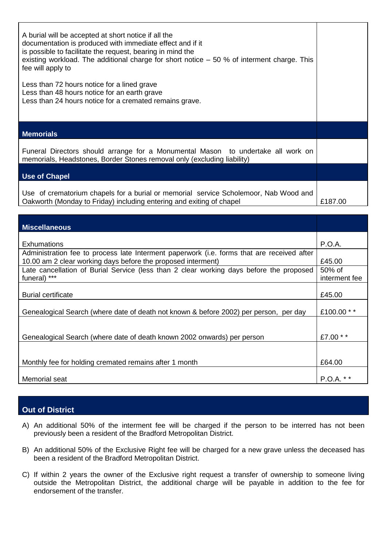| A burial will be accepted at short notice if all the<br>documentation is produced with immediate effect and if it<br>is possible to facilitate the request, bearing in mind the<br>existing workload. The additional charge for short notice $-50$ % of interment charge. This<br>fee will apply to |                         |
|-----------------------------------------------------------------------------------------------------------------------------------------------------------------------------------------------------------------------------------------------------------------------------------------------------|-------------------------|
| Less than 72 hours notice for a lined grave<br>Less than 48 hours notice for an earth grave<br>Less than 24 hours notice for a cremated remains grave.                                                                                                                                              |                         |
| <b>Memorials</b>                                                                                                                                                                                                                                                                                    |                         |
| Funeral Directors should arrange for a Monumental Mason to undertake all work on<br>memorials, Headstones, Border Stones removal only (excluding liability)                                                                                                                                         |                         |
| <b>Use of Chapel</b>                                                                                                                                                                                                                                                                                |                         |
| Use of crematorium chapels for a burial or memorial service Scholemoor, Nab Wood and<br>Oakworth (Monday to Friday) including entering and exiting of chapel                                                                                                                                        | £187.00                 |
|                                                                                                                                                                                                                                                                                                     |                         |
| <b>Miscellaneous</b>                                                                                                                                                                                                                                                                                |                         |
| <b>Exhumations</b>                                                                                                                                                                                                                                                                                  | <b>P.O.A.</b>           |
| Administration fee to process late Interment paperwork (i.e. forms that are received after<br>10.00 am 2 clear working days before the proposed interment)                                                                                                                                          | £45.00                  |
| Late cancellation of Burial Service (less than 2 clear working days before the proposed<br>funeral) ***                                                                                                                                                                                             | 50% of<br>interment fee |
| <b>Burial certificate</b>                                                                                                                                                                                                                                                                           | £45.00                  |
| Genealogical Search (where date of death not known & before 2002) per person, per day                                                                                                                                                                                                               | £100.00 **              |
| Genealogical Search (where date of death known 2002 onwards) per person                                                                                                                                                                                                                             | £7.00 **                |
| Monthly fee for holding cremated remains after 1 month                                                                                                                                                                                                                                              | £64.00                  |

Memorial seat P.O.A. \* \*

# **Out of District**

- A) An additional 50% of the interment fee will be charged if the person to be interred has not been previously been a resident of the Bradford Metropolitan District.
- B) An additional 50% of the Exclusive Right fee will be charged for a new grave unless the deceased has been a resident of the Bradford Metropolitan District.
- C) If within 2 years the owner of the Exclusive right request a transfer of ownership to someone living outside the Metropolitan District, the additional charge will be payable in addition to the fee for endorsement of the transfer.